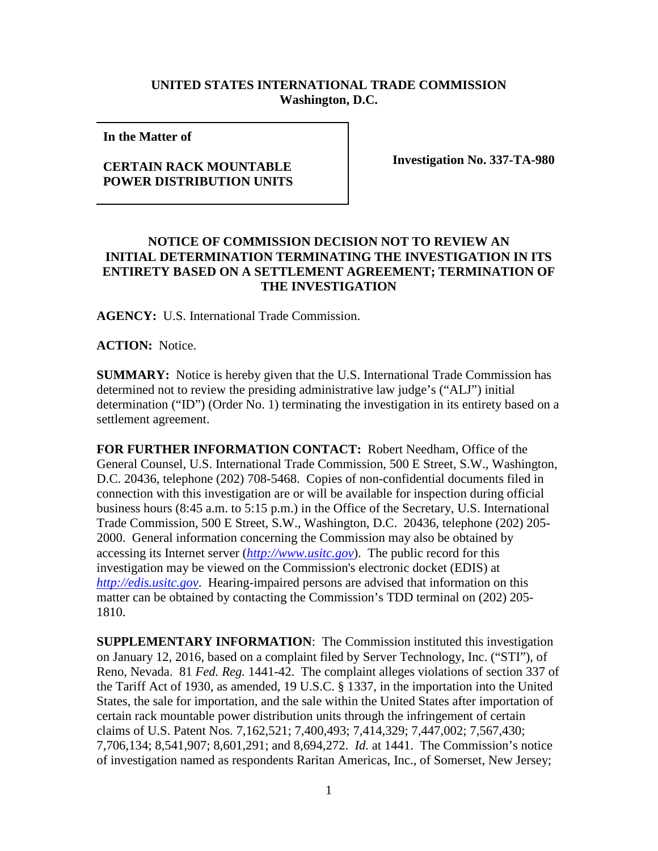## **UNITED STATES INTERNATIONAL TRADE COMMISSION Washington, D.C.**

**In the Matter of** 

## **CERTAIN RACK MOUNTABLE POWER DISTRIBUTION UNITS**

**Investigation No. 337-TA-980**

## **NOTICE OF COMMISSION DECISION NOT TO REVIEW AN INITIAL DETERMINATION TERMINATING THE INVESTIGATION IN ITS ENTIRETY BASED ON A SETTLEMENT AGREEMENT; TERMINATION OF THE INVESTIGATION**

**AGENCY:** U.S. International Trade Commission.

**ACTION:** Notice.

**SUMMARY:** Notice is hereby given that the U.S. International Trade Commission has determined not to review the presiding administrative law judge's ("ALJ") initial determination ("ID") (Order No. 1) terminating the investigation in its entirety based on a settlement agreement.

**FOR FURTHER INFORMATION CONTACT:** Robert Needham, Office of the General Counsel, U.S. International Trade Commission, 500 E Street, S.W., Washington, D.C. 20436, telephone (202) 708-5468. Copies of non-confidential documents filed in connection with this investigation are or will be available for inspection during official business hours (8:45 a.m. to 5:15 p.m.) in the Office of the Secretary, U.S. International Trade Commission, 500 E Street, S.W., Washington, D.C. 20436, telephone (202) 205- 2000. General information concerning the Commission may also be obtained by accessing its Internet server (*[http://www.usitc.gov](http://www.usitc.gov/)*). The public record for this investigation may be viewed on the Commission's electronic docket (EDIS) at *[http://edis.usitc.gov](http://edis.usitc.gov/)*. Hearing-impaired persons are advised that information on this matter can be obtained by contacting the Commission's TDD terminal on (202) 205- 1810.

**SUPPLEMENTARY INFORMATION**: The Commission instituted this investigation on January 12, 2016, based on a complaint filed by Server Technology, Inc. ("STI"), of Reno, Nevada. 81 *Fed. Reg.* 1441-42. The complaint alleges violations of section 337 of the Tariff Act of 1930, as amended, 19 U.S.C. § 1337, in the importation into the United States, the sale for importation, and the sale within the United States after importation of certain rack mountable power distribution units through the infringement of certain claims of U.S. Patent Nos. 7,162,521; 7,400,493; 7,414,329; 7,447,002; 7,567,430; 7,706,134; 8,541,907; 8,601,291; and 8,694,272. *Id.* at 1441. The Commission's notice of investigation named as respondents Raritan Americas, Inc., of Somerset, New Jersey;